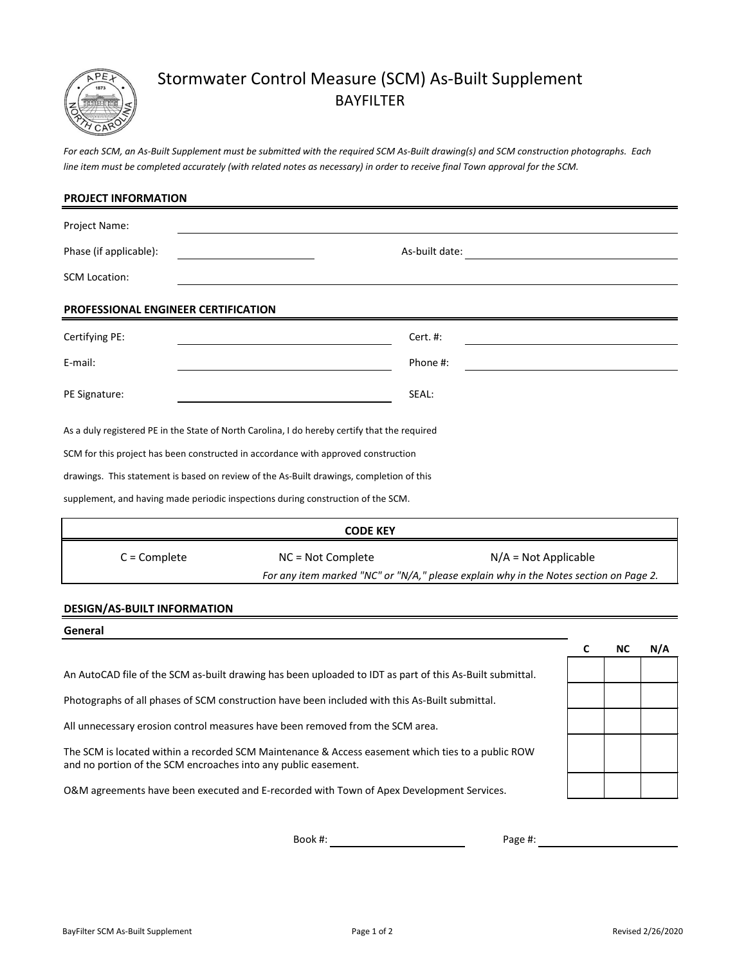

# Stormwater Control Measure (SCM) As-Built Supplement BAYFILTER

*line item must be completed accurately (with related notes as necessary) in order to receive final Town approval for the SCM. For each SCM, an As-Built Supplement must be submitted with the required SCM As-Built drawing(s) and SCM construction photographs. Each*

| <b>PROJECT INFORMATION</b>          |                                                                                               |                |                                                                                       |
|-------------------------------------|-----------------------------------------------------------------------------------------------|----------------|---------------------------------------------------------------------------------------|
| Project Name:                       |                                                                                               |                |                                                                                       |
| Phase (if applicable):              |                                                                                               | As-built date: |                                                                                       |
| <b>SCM Location:</b>                |                                                                                               |                |                                                                                       |
| PROFESSIONAL ENGINEER CERTIFICATION |                                                                                               |                |                                                                                       |
| Certifying PE:                      |                                                                                               | Cert. #:       |                                                                                       |
| E-mail:                             |                                                                                               | Phone #:       |                                                                                       |
| PE Signature:                       |                                                                                               | SEAL:          |                                                                                       |
|                                     | As a duly registered PE in the State of North Carolina, I do hereby certify that the required |                |                                                                                       |
|                                     | SCM for this project has been constructed in accordance with approved construction            |                |                                                                                       |
|                                     | drawings. This statement is based on review of the As-Built drawings, completion of this      |                |                                                                                       |
|                                     | supplement, and having made periodic inspections during construction of the SCM.              |                |                                                                                       |
|                                     | <b>CODE KEY</b>                                                                               |                |                                                                                       |
| $C =$ Complete                      | NC = Not Complete                                                                             |                | $N/A = Not Applicable$                                                                |
|                                     |                                                                                               |                | For any item marked "NC" or "N/A," please explain why in the Notes section on Page 2. |
|                                     |                                                                                               |                |                                                                                       |

#### **DESIGN/AS-BUILT INFORMATION**

# **C NC N/A** and no portion of the SCM encroaches into any public easement. An AutoCAD file of the SCM as-built drawing has been uploaded to IDT as part of this As-Built submittal. **General** Photographs of all phases of SCM construction have been included with this As-Built submittal. All unnecessary erosion control measures have been removed from the SCM area. The SCM is located within a recorded SCM Maintenance & Access easement which ties to a public ROW O&M agreements have been executed and E-recorded with Town of Apex Development Services.

Book #:

Page #: